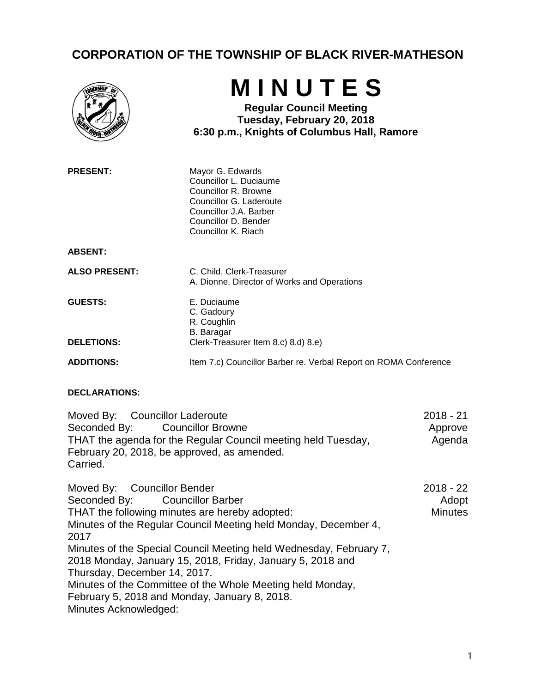## **CORPORATION OF THE TOWNSHIP OF BLACK RIVER-MATHESON**

|                                                                                                                                                                                                                  | MINUTES<br><b>Regular Council Meeting</b><br>Tuesday, February 20, 2018<br>6:30 p.m., Knights of Columbus Hall, Ramore                                                 |                                      |
|------------------------------------------------------------------------------------------------------------------------------------------------------------------------------------------------------------------|------------------------------------------------------------------------------------------------------------------------------------------------------------------------|--------------------------------------|
| <b>PRESENT:</b>                                                                                                                                                                                                  | Mayor G. Edwards<br>Councillor L. Duciaume<br>Councillor R. Browne<br>Councillor G. Laderoute<br>Councillor J.A. Barber<br>Councillor D. Bender<br>Councillor K. Riach |                                      |
| <b>ABSENT:</b>                                                                                                                                                                                                   |                                                                                                                                                                        |                                      |
| <b>ALSO PRESENT:</b>                                                                                                                                                                                             | C. Child, Clerk-Treasurer<br>A. Dionne, Director of Works and Operations                                                                                               |                                      |
| <b>GUESTS:</b>                                                                                                                                                                                                   | E. Duciaume<br>C. Gadoury<br>R. Coughlin<br><b>B.</b> Baragar                                                                                                          |                                      |
| <b>DELETIONS:</b>                                                                                                                                                                                                | Clerk-Treasurer Item 8.c) 8.d) 8.e)                                                                                                                                    |                                      |
| <b>ADDITIONS:</b>                                                                                                                                                                                                | Item 7.c) Councillor Barber re. Verbal Report on ROMA Conference                                                                                                       |                                      |
| <b>DECLARATIONS:</b>                                                                                                                                                                                             |                                                                                                                                                                        |                                      |
| <b>Councillor Laderoute</b><br>Moved By:<br>Seconded By:<br><b>Councillor Browne</b><br>THAT the agenda for the Regular Council meeting held Tuesday,<br>February 20, 2018, be approved, as amended.<br>Carried. |                                                                                                                                                                        | $2018 - 21$<br>Approve<br>Agenda     |
| Moved By:<br><b>Councillor Bender</b><br><b>Councillor Barber</b><br>Seconded By:<br>THAT the following minutes are hereby adopted:<br>Minutes of the Regular Council Meeting held Monday, December 4,<br>2017   |                                                                                                                                                                        | 2018 - 22<br>Adopt<br><b>Minutes</b> |
| Thursday, December 14, 2017.                                                                                                                                                                                     | Minutes of the Special Council Meeting held Wednesday, February 7,<br>2018 Monday, January 15, 2018, Friday, January 5, 2018 and                                       |                                      |
|                                                                                                                                                                                                                  | Minutes of the Committee of the Whole Meeting held Monday,                                                                                                             |                                      |

February 5, 2018 and Monday, January 8, 2018.

Minutes Acknowledged: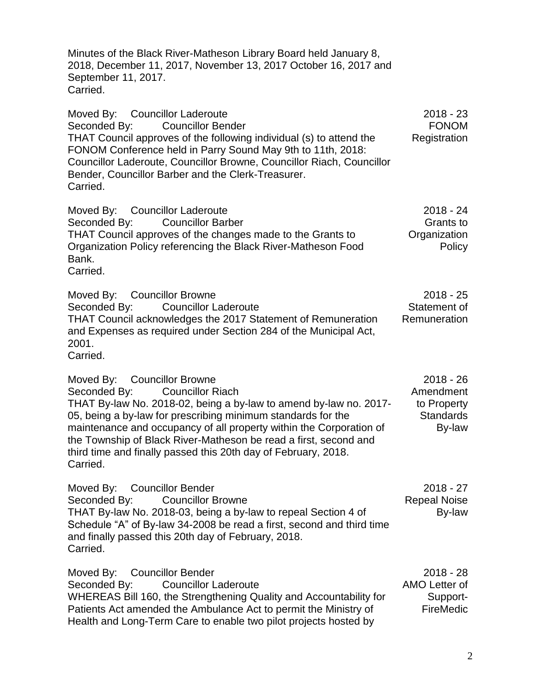Minutes of the Black River-Matheson Library Board held January 8, 2018, December 11, 2017, November 13, 2017 October 16, 2017 and September 11, 2017. Carried.

Moved By: Councillor Laderoute Seconded By: Councillor Bender THAT Council approves of the following individual (s) to attend the FONOM Conference held in Parry Sound May 9th to 11th, 2018: Councillor Laderoute, Councillor Browne, Councillor Riach, Councillor Bender, Councillor Barber and the Clerk-Treasurer. Carried. 2018 - 23 FONOM Registration Moved By: Councillor Laderoute Seconded By: Councillor Barber THAT Council approves of the changes made to the Grants to Organization Policy referencing the Black River-Matheson Food Bank. Carried. 2018 - 24 Grants to **Organization** Policy Moved By: Councillor Browne Seconded By: Councillor Laderoute THAT Council acknowledges the 2017 Statement of Remuneration and Expenses as required under Section 284 of the Municipal Act, 2001. 2018 - 25 Statement of Remuneration

Carried.

Moved By: Councillor Browne Seconded By: Councillor Riach THAT By-law No. 2018-02, being a by-law to amend by-law no. 2017- 05, being a by-law for prescribing minimum standards for the maintenance and occupancy of all property within the Corporation of the Township of Black River-Matheson be read a first, second and third time and finally passed this 20th day of February, 2018. Carried. 2018 - 26 Amendment to Property **Standards** By-law

Moved By: Councillor Bender Seconded By: Councillor Browne THAT By-law No. 2018-03, being a by-law to repeal Section 4 of Schedule "A" of By-law 34-2008 be read a first, second and third time and finally passed this 20th day of February, 2018. Carried. 2018 - 27 Repeal Noise By-law

| Moved By: Councillor Bender                                        | $2018 - 28$      |
|--------------------------------------------------------------------|------------------|
| Seconded By: Councillor Laderoute                                  | AMO Letter of    |
| WHEREAS Bill 160, the Strengthening Quality and Accountability for | Support-         |
| Patients Act amended the Ambulance Act to permit the Ministry of   | <b>FireMedic</b> |
| Health and Long-Term Care to enable two pilot projects hosted by   |                  |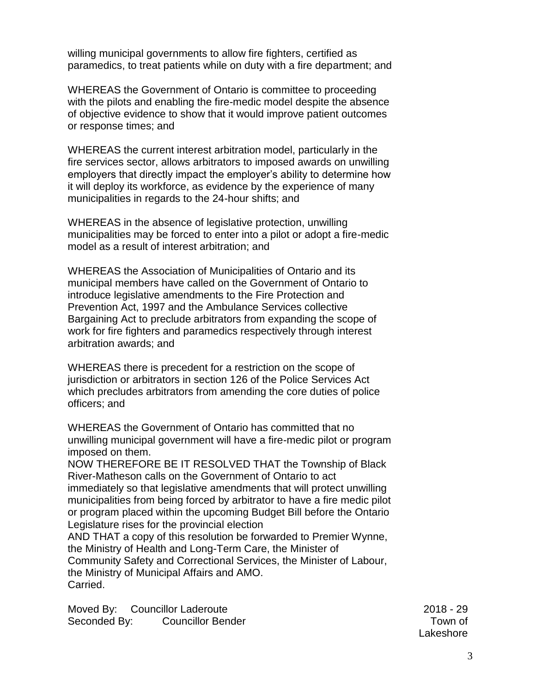willing municipal governments to allow fire fighters, certified as paramedics, to treat patients while on duty with a fire department; and

WHEREAS the Government of Ontario is committee to proceeding with the pilots and enabling the fire-medic model despite the absence of objective evidence to show that it would improve patient outcomes or response times; and

WHEREAS the current interest arbitration model, particularly in the fire services sector, allows arbitrators to imposed awards on unwilling employers that directly impact the employer's ability to determine how it will deploy its workforce, as evidence by the experience of many municipalities in regards to the 24-hour shifts; and

WHEREAS in the absence of legislative protection, unwilling municipalities may be forced to enter into a pilot or adopt a fire-medic model as a result of interest arbitration; and

WHEREAS the Association of Municipalities of Ontario and its municipal members have called on the Government of Ontario to introduce legislative amendments to the Fire Protection and Prevention Act, 1997 and the Ambulance Services collective Bargaining Act to preclude arbitrators from expanding the scope of work for fire fighters and paramedics respectively through interest arbitration awards; and

WHEREAS there is precedent for a restriction on the scope of jurisdiction or arbitrators in section 126 of the Police Services Act which precludes arbitrators from amending the core duties of police officers; and

WHEREAS the Government of Ontario has committed that no unwilling municipal government will have a fire-medic pilot or program imposed on them.

NOW THEREFORE BE IT RESOLVED THAT the Township of Black River-Matheson calls on the Government of Ontario to act immediately so that legislative amendments that will protect unwilling municipalities from being forced by arbitrator to have a fire medic pilot or program placed within the upcoming Budget Bill before the Ontario Legislature rises for the provincial election

AND THAT a copy of this resolution be forwarded to Premier Wynne, the Ministry of Health and Long-Term Care, the Minister of Community Safety and Correctional Services, the Minister of Labour, the Ministry of Municipal Affairs and AMO. Carried.

Moved By: Councillor Laderoute Seconded By: Councillor Bender

2018 - 29 Town of Lakeshore